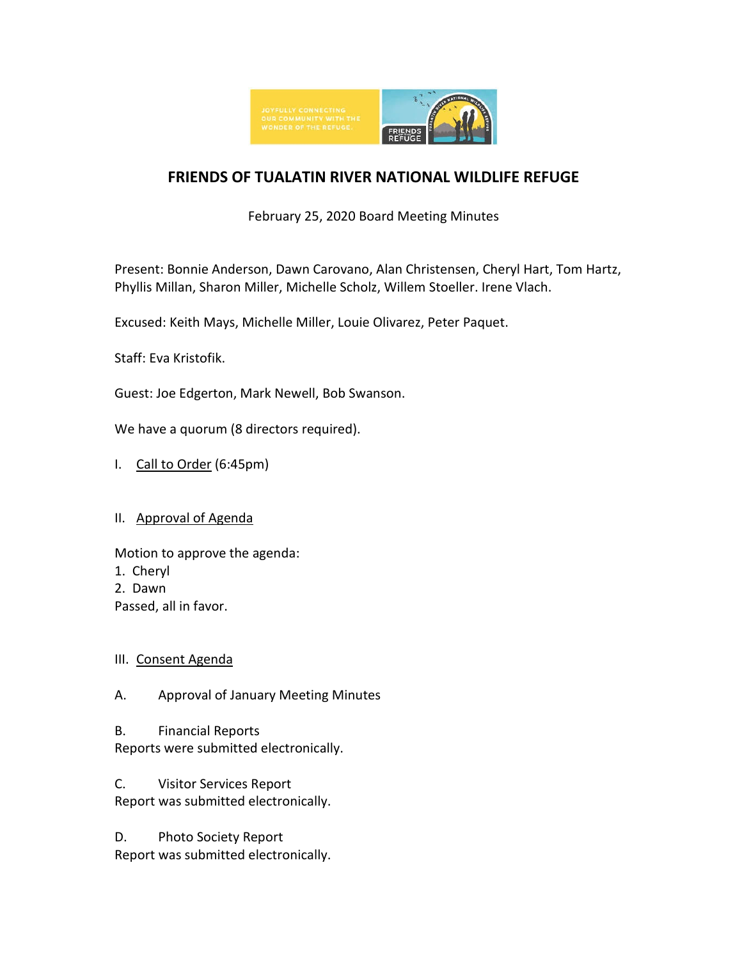

# **FRIENDS OF TUALATIN RIVER NATIONAL WILDLIFE REFUGE**

February 25, 2020 Board Meeting Minutes

Present: Bonnie Anderson, Dawn Carovano, Alan Christensen, Cheryl Hart, Tom Hartz, Phyllis Millan, Sharon Miller, Michelle Scholz, Willem Stoeller. Irene Vlach.

Excused: Keith Mays, Michelle Miller, Louie Olivarez, Peter Paquet.

Staff: Eva Kristofik.

Guest: Joe Edgerton, Mark Newell, Bob Swanson.

We have a quorum (8 directors required).

I. Call to Order (6:45pm)

### II. Approval of Agenda

Motion to approve the agenda:

- 1. Cheryl
- 2. Dawn
- Passed, all in favor.

### III. Consent Agenda

A. Approval of January Meeting Minutes

B. Financial Reports Reports were submitted electronically.

C. Visitor Services Report Report was submitted electronically.

D. Photo Society Report Report was submitted electronically.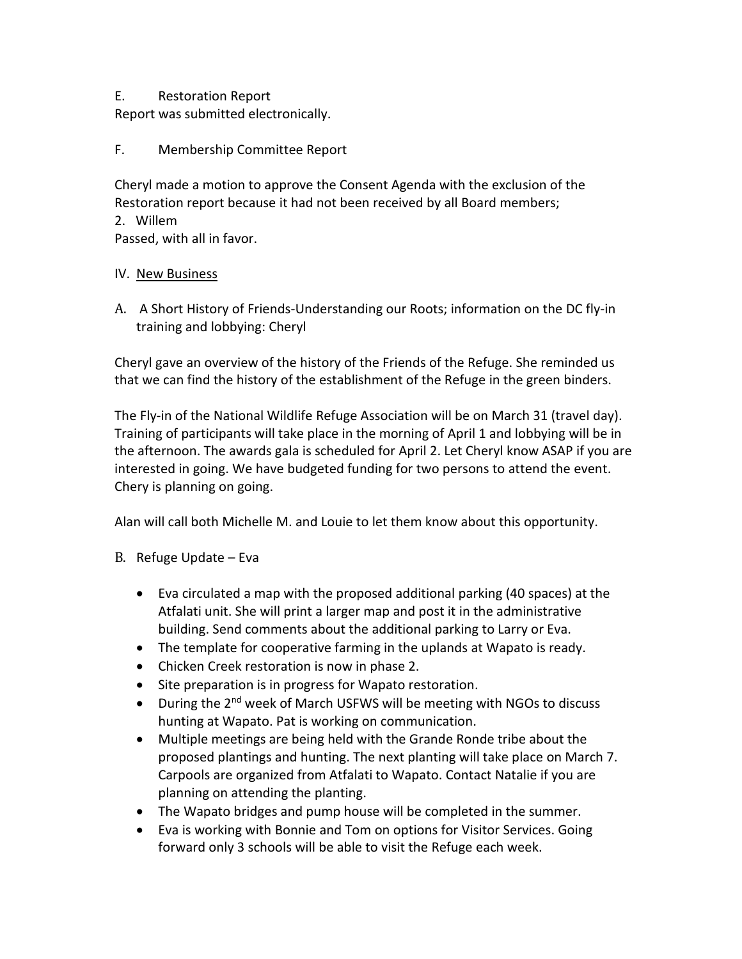## E. Restoration Report

Report was submitted electronically.

F. Membership Committee Report

Cheryl made a motion to approve the Consent Agenda with the exclusion of the Restoration report because it had not been received by all Board members;

2. Willem

Passed, with all in favor.

### IV. New Business

A. A Short History of Friends-Understanding our Roots; information on the DC fly-in training and lobbying: Cheryl

Cheryl gave an overview of the history of the Friends of the Refuge. She reminded us that we can find the history of the establishment of the Refuge in the green binders.

The Fly-in of the National Wildlife Refuge Association will be on March 31 (travel day). Training of participants will take place in the morning of April 1 and lobbying will be in the afternoon. The awards gala is scheduled for April 2. Let Cheryl know ASAP if you are interested in going. We have budgeted funding for two persons to attend the event. Chery is planning on going.

Alan will call both Michelle M. and Louie to let them know about this opportunity.

- B. Refuge Update Eva
	- Eva circulated a map with the proposed additional parking (40 spaces) at the Atfalati unit. She will print a larger map and post it in the administrative building. Send comments about the additional parking to Larry or Eva.
	- The template for cooperative farming in the uplands at Wapato is ready.
	- Chicken Creek restoration is now in phase 2.
	- Site preparation is in progress for Wapato restoration.
	- During the 2<sup>nd</sup> week of March USFWS will be meeting with NGOs to discuss hunting at Wapato. Pat is working on communication.
	- Multiple meetings are being held with the Grande Ronde tribe about the proposed plantings and hunting. The next planting will take place on March 7. Carpools are organized from Atfalati to Wapato. Contact Natalie if you are planning on attending the planting.
	- The Wapato bridges and pump house will be completed in the summer.
	- Eva is working with Bonnie and Tom on options for Visitor Services. Going forward only 3 schools will be able to visit the Refuge each week.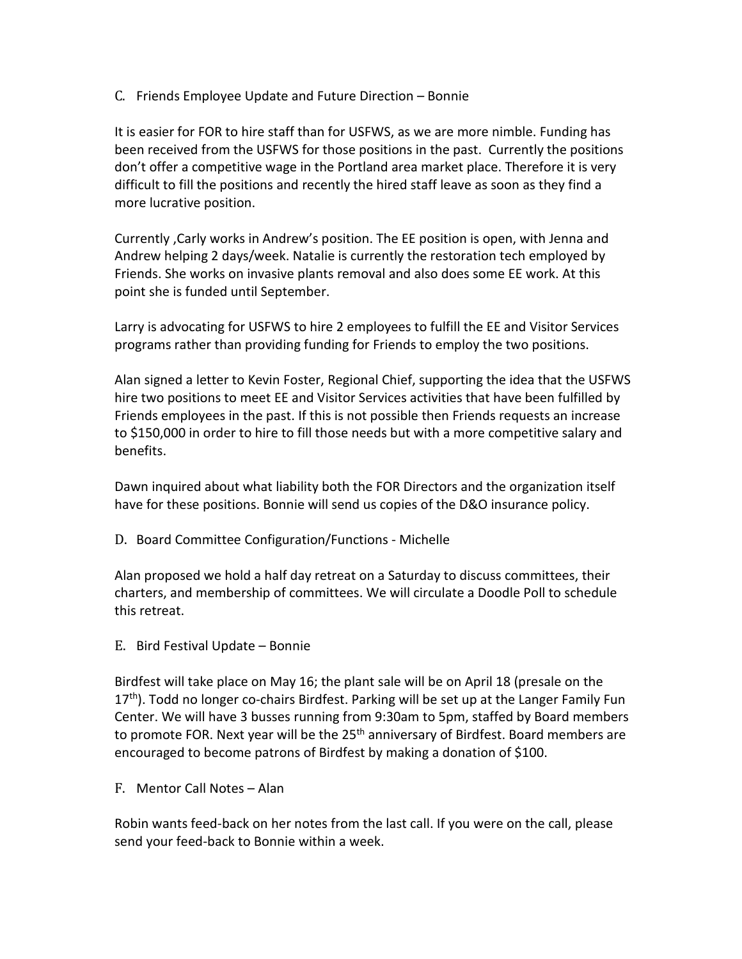C. Friends Employee Update and Future Direction – Bonnie

It is easier for FOR to hire staff than for USFWS, as we are more nimble. Funding has been received from the USFWS for those positions in the past. Currently the positions don't offer a competitive wage in the Portland area market place. Therefore it is very difficult to fill the positions and recently the hired staff leave as soon as they find a more lucrative position.

Currently ,Carly works in Andrew's position. The EE position is open, with Jenna and Andrew helping 2 days/week. Natalie is currently the restoration tech employed by Friends. She works on invasive plants removal and also does some EE work. At this point she is funded until September.

Larry is advocating for USFWS to hire 2 employees to fulfill the EE and Visitor Services programs rather than providing funding for Friends to employ the two positions.

Alan signed a letter to Kevin Foster, Regional Chief, supporting the idea that the USFWS hire two positions to meet EE and Visitor Services activities that have been fulfilled by Friends employees in the past. If this is not possible then Friends requests an increase to \$150,000 in order to hire to fill those needs but with a more competitive salary and benefits.

Dawn inquired about what liability both the FOR Directors and the organization itself have for these positions. Bonnie will send us copies of the D&O insurance policy.

D. Board Committee Configuration/Functions - Michelle

Alan proposed we hold a half day retreat on a Saturday to discuss committees, their charters, and membership of committees. We will circulate a Doodle Poll to schedule this retreat.

E. Bird Festival Update – Bonnie

Birdfest will take place on May 16; the plant sale will be on April 18 (presale on the 17<sup>th</sup>). Todd no longer co-chairs Birdfest. Parking will be set up at the Langer Family Fun Center. We will have 3 busses running from 9:30am to 5pm, staffed by Board members to promote FOR. Next year will be the  $25<sup>th</sup>$  anniversary of Birdfest. Board members are encouraged to become patrons of Birdfest by making a donation of \$100.

F. Mentor Call Notes – Alan

Robin wants feed-back on her notes from the last call. If you were on the call, please send your feed-back to Bonnie within a week.